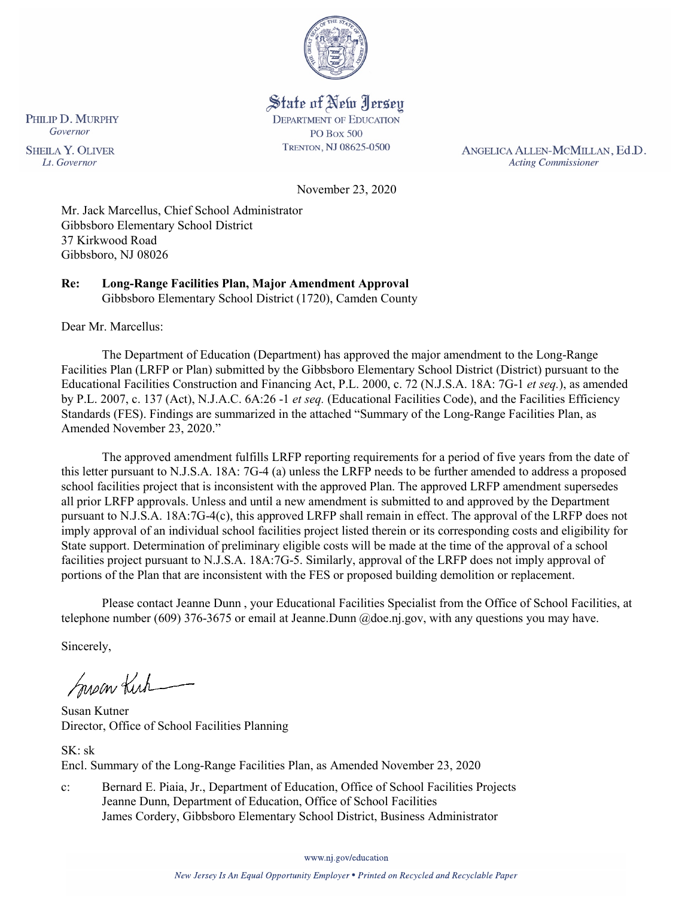

# State of New Jersey

**DEPARTMENT OF EDUCATION PO Box 500** TRENTON, NJ 08625-0500

ANGELICA ALLEN-MCMILLAN, Ed.D. **Acting Commissioner** 

November 23, 2020

Mr. Jack Marcellus, Chief School Administrator Gibbsboro Elementary School District 37 Kirkwood Road Gibbsboro, NJ 08026

**Re: Long-Range Facilities Plan, Major Amendment Approval**  Gibbsboro Elementary School District (1720), Camden County

Dear Mr. Marcellus:

The Department of Education (Department) has approved the major amendment to the Long-Range Facilities Plan (LRFP or Plan) submitted by the Gibbsboro Elementary School District (District) pursuant to the Educational Facilities Construction and Financing Act, P.L. 2000, c. 72 (N.J.S.A. 18A: 7G-1 *et seq.*), as amended by P.L. 2007, c. 137 (Act), N.J.A.C. 6A:26 -1 *et seq.* (Educational Facilities Code), and the Facilities Efficiency Standards (FES). Findings are summarized in the attached "Summary of the Long-Range Facilities Plan, as Amended November 23, 2020."

The approved amendment fulfills LRFP reporting requirements for a period of five years from the date of this letter pursuant to N.J.S.A. 18A: 7G-4 (a) unless the LRFP needs to be further amended to address a proposed school facilities project that is inconsistent with the approved Plan. The approved LRFP amendment supersedes all prior LRFP approvals. Unless and until a new amendment is submitted to and approved by the Department pursuant to N.J.S.A. 18A:7G-4(c), this approved LRFP shall remain in effect. The approval of the LRFP does not imply approval of an individual school facilities project listed therein or its corresponding costs and eligibility for State support. Determination of preliminary eligible costs will be made at the time of the approval of a school facilities project pursuant to N.J.S.A. 18A:7G-5. Similarly, approval of the LRFP does not imply approval of portions of the Plan that are inconsistent with the FES or proposed building demolition or replacement.

Please contact Jeanne Dunn , your Educational Facilities Specialist from the Office of School Facilities, at telephone number (609) 376-3675 or email at Jeanne.Dunn @doe.nj.gov, with any questions you may have.

Sincerely,

Susan Kich

Susan Kutner Director, Office of School Facilities Planning

SK: sk Encl. Summary of the Long-Range Facilities Plan, as Amended November 23, 2020

c: Bernard E. Piaia, Jr., Department of Education, Office of School Facilities Projects Jeanne Dunn, Department of Education, Office of School Facilities James Cordery, Gibbsboro Elementary School District, Business Administrator

www.nj.gov/education

PHILIP D. MURPHY Governor

**SHEILA Y. OLIVER** Lt. Governor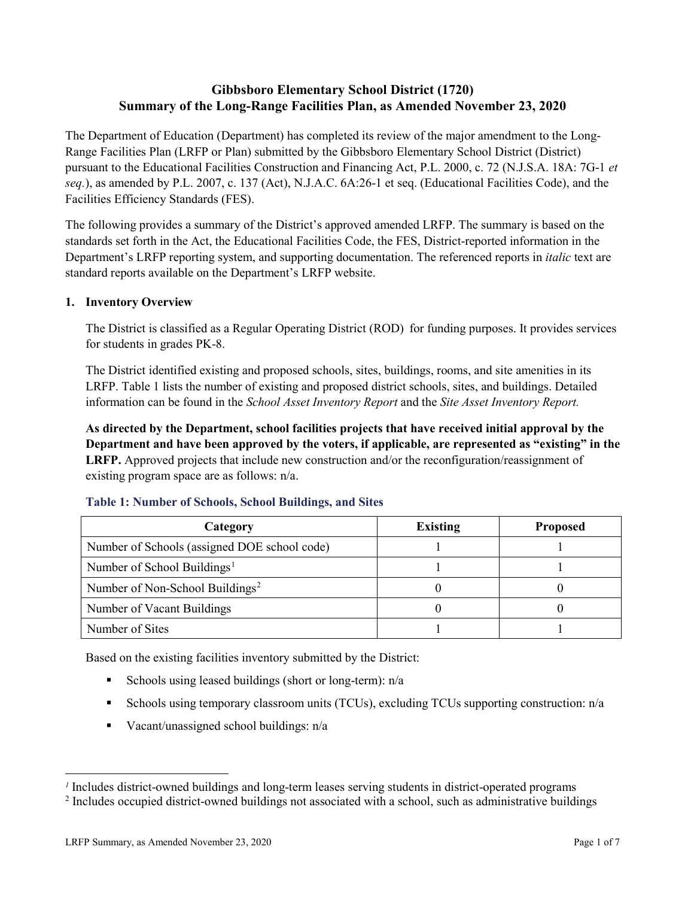# **Gibbsboro Elementary School District (1720) Summary of the Long-Range Facilities Plan, as Amended November 23, 2020**

The Department of Education (Department) has completed its review of the major amendment to the Long-Range Facilities Plan (LRFP or Plan) submitted by the Gibbsboro Elementary School District (District) pursuant to the Educational Facilities Construction and Financing Act, P.L. 2000, c. 72 (N.J.S.A. 18A: 7G-1 *et seq.*), as amended by P.L. 2007, c. 137 (Act), N.J.A.C. 6A:26-1 et seq. (Educational Facilities Code), and the Facilities Efficiency Standards (FES).

The following provides a summary of the District's approved amended LRFP. The summary is based on the standards set forth in the Act, the Educational Facilities Code, the FES, District-reported information in the Department's LRFP reporting system, and supporting documentation. The referenced reports in *italic* text are standard reports available on the Department's LRFP website.

## **1. Inventory Overview**

The District is classified as a Regular Operating District (ROD) for funding purposes. It provides services for students in grades PK-8.

The District identified existing and proposed schools, sites, buildings, rooms, and site amenities in its LRFP. Table 1 lists the number of existing and proposed district schools, sites, and buildings. Detailed information can be found in the *School Asset Inventory Report* and the *Site Asset Inventory Report.*

**As directed by the Department, school facilities projects that have received initial approval by the Department and have been approved by the voters, if applicable, are represented as "existing" in the LRFP.** Approved projects that include new construction and/or the reconfiguration/reassignment of existing program space are as follows: n/a.

| Category                                     | <b>Existing</b> | <b>Proposed</b> |
|----------------------------------------------|-----------------|-----------------|
| Number of Schools (assigned DOE school code) |                 |                 |
| Number of School Buildings <sup>1</sup>      |                 |                 |
| Number of Non-School Buildings <sup>2</sup>  |                 |                 |
| Number of Vacant Buildings                   |                 |                 |
| Number of Sites                              |                 |                 |

#### **Table 1: Number of Schools, School Buildings, and Sites**

Based on the existing facilities inventory submitted by the District:

- Schools using leased buildings (short or long-term):  $n/a$
- Schools using temporary classroom units (TCUs), excluding TCUs supporting construction: n/a
- Vacant/unassigned school buildings:  $n/a$

 $\overline{a}$ 

<span id="page-1-1"></span><span id="page-1-0"></span>*<sup>1</sup>* Includes district-owned buildings and long-term leases serving students in district-operated programs

<sup>&</sup>lt;sup>2</sup> Includes occupied district-owned buildings not associated with a school, such as administrative buildings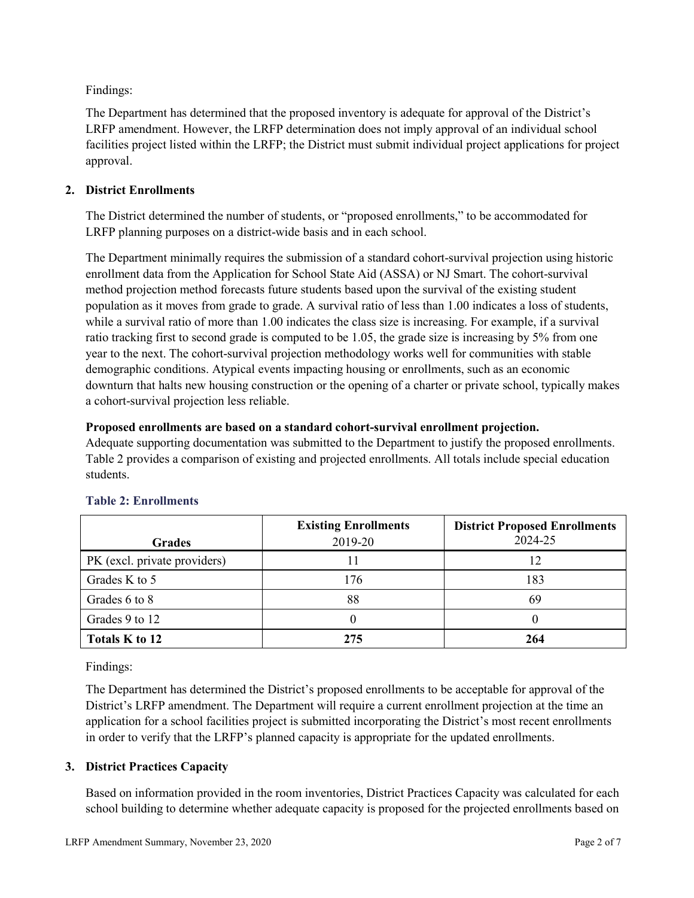Findings:

The Department has determined that the proposed inventory is adequate for approval of the District's LRFP amendment. However, the LRFP determination does not imply approval of an individual school facilities project listed within the LRFP; the District must submit individual project applications for project approval.

## **2. District Enrollments**

The District determined the number of students, or "proposed enrollments," to be accommodated for LRFP planning purposes on a district-wide basis and in each school.

The Department minimally requires the submission of a standard cohort-survival projection using historic enrollment data from the Application for School State Aid (ASSA) or NJ Smart. The cohort-survival method projection method forecasts future students based upon the survival of the existing student population as it moves from grade to grade. A survival ratio of less than 1.00 indicates a loss of students, while a survival ratio of more than 1.00 indicates the class size is increasing. For example, if a survival ratio tracking first to second grade is computed to be 1.05, the grade size is increasing by 5% from one year to the next. The cohort-survival projection methodology works well for communities with stable demographic conditions. Atypical events impacting housing or enrollments, such as an economic downturn that halts new housing construction or the opening of a charter or private school, typically makes a cohort-survival projection less reliable.

## **Proposed enrollments are based on a standard cohort-survival enrollment projection.**

Adequate supporting documentation was submitted to the Department to justify the proposed enrollments. Table 2 provides a comparison of existing and projected enrollments. All totals include special education students.

|                              | <b>Existing Enrollments</b> | <b>District Proposed Enrollments</b> |
|------------------------------|-----------------------------|--------------------------------------|
| <b>Grades</b>                | 2019-20                     | 2024-25                              |
| PK (excl. private providers) |                             | 12                                   |
| Grades K to 5                | 176                         | 183                                  |
| Grades 6 to 8                | 88                          | 69                                   |
| Grades 9 to 12               |                             |                                      |
| Totals K to 12               | 275                         | 264                                  |

# **Table 2: Enrollments**

Findings:

The Department has determined the District's proposed enrollments to be acceptable for approval of the District's LRFP amendment. The Department will require a current enrollment projection at the time an application for a school facilities project is submitted incorporating the District's most recent enrollments in order to verify that the LRFP's planned capacity is appropriate for the updated enrollments.

# **3. District Practices Capacity**

Based on information provided in the room inventories, District Practices Capacity was calculated for each school building to determine whether adequate capacity is proposed for the projected enrollments based on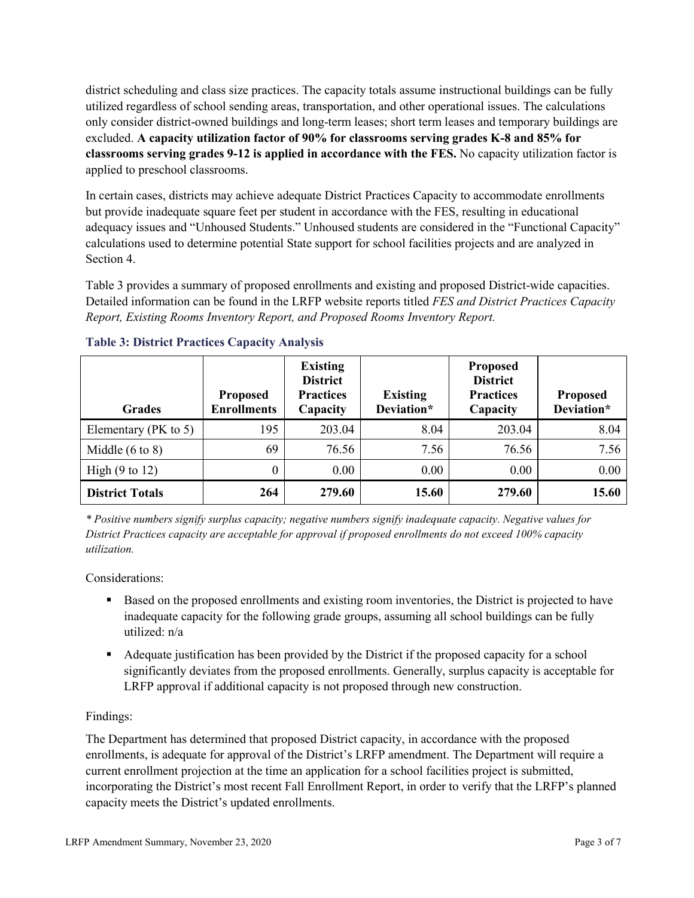district scheduling and class size practices. The capacity totals assume instructional buildings can be fully utilized regardless of school sending areas, transportation, and other operational issues. The calculations only consider district-owned buildings and long-term leases; short term leases and temporary buildings are excluded. **A capacity utilization factor of 90% for classrooms serving grades K-8 and 85% for classrooms serving grades 9-12 is applied in accordance with the FES.** No capacity utilization factor is applied to preschool classrooms.

In certain cases, districts may achieve adequate District Practices Capacity to accommodate enrollments but provide inadequate square feet per student in accordance with the FES, resulting in educational adequacy issues and "Unhoused Students." Unhoused students are considered in the "Functional Capacity" calculations used to determine potential State support for school facilities projects and are analyzed in Section 4.

Table 3 provides a summary of proposed enrollments and existing and proposed District-wide capacities. Detailed information can be found in the LRFP website reports titled *FES and District Practices Capacity Report, Existing Rooms Inventory Report, and Proposed Rooms Inventory Report.*

| <b>Grades</b>              | <b>Proposed</b><br><b>Enrollments</b> | <b>Existing</b><br><b>District</b><br><b>Practices</b><br>Capacity | <b>Existing</b><br>Deviation* | <b>Proposed</b><br><b>District</b><br><b>Practices</b><br>Capacity | <b>Proposed</b><br>Deviation* |
|----------------------------|---------------------------------------|--------------------------------------------------------------------|-------------------------------|--------------------------------------------------------------------|-------------------------------|
| Elementary ( $PK$ to 5)    | 195                                   | 203.04                                                             | 8.04                          | 203.04                                                             | 8.04                          |
| Middle $(6 \text{ to } 8)$ | 69                                    | 76.56                                                              | 7.56                          | 76.56                                                              | 7.56                          |
| High $(9 \text{ to } 12)$  | $\theta$                              | 0.00                                                               | 0.00                          | 0.00                                                               | 0.00                          |
| <b>District Totals</b>     | 264                                   | 279.60                                                             | 15.60                         | 279.60                                                             | 15.60                         |

## **Table 3: District Practices Capacity Analysis**

*\* Positive numbers signify surplus capacity; negative numbers signify inadequate capacity. Negative values for District Practices capacity are acceptable for approval if proposed enrollments do not exceed 100% capacity utilization.*

Considerations:

- Based on the proposed enrollments and existing room inventories, the District is projected to have inadequate capacity for the following grade groups, assuming all school buildings can be fully utilized: n/a
- Adequate justification has been provided by the District if the proposed capacity for a school significantly deviates from the proposed enrollments. Generally, surplus capacity is acceptable for LRFP approval if additional capacity is not proposed through new construction.

## Findings:

The Department has determined that proposed District capacity, in accordance with the proposed enrollments, is adequate for approval of the District's LRFP amendment. The Department will require a current enrollment projection at the time an application for a school facilities project is submitted, incorporating the District's most recent Fall Enrollment Report, in order to verify that the LRFP's planned capacity meets the District's updated enrollments.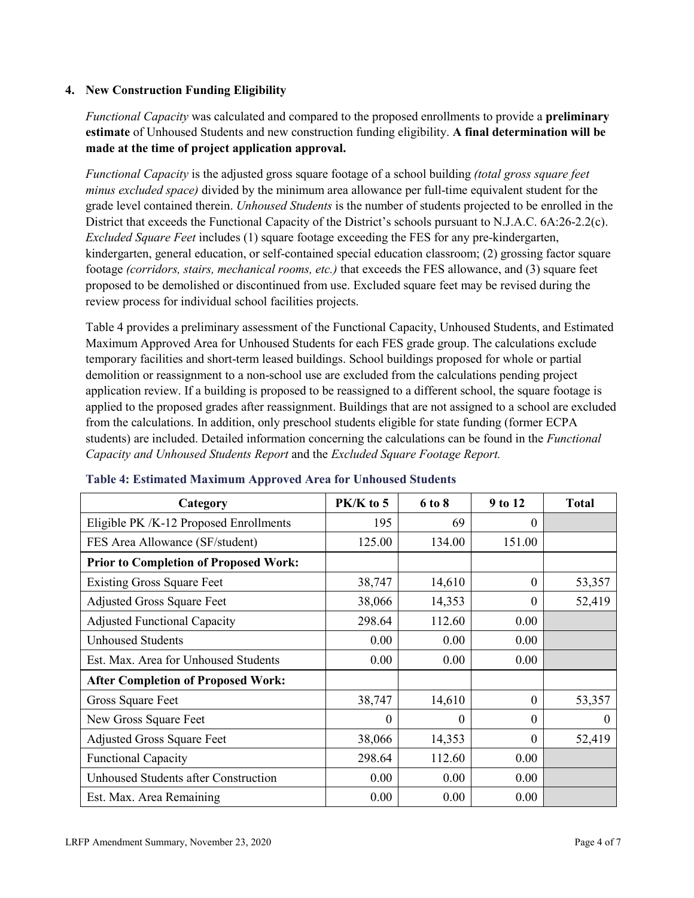## **4. New Construction Funding Eligibility**

*Functional Capacity* was calculated and compared to the proposed enrollments to provide a **preliminary estimate** of Unhoused Students and new construction funding eligibility. **A final determination will be made at the time of project application approval.**

*Functional Capacity* is the adjusted gross square footage of a school building *(total gross square feet minus excluded space)* divided by the minimum area allowance per full-time equivalent student for the grade level contained therein. *Unhoused Students* is the number of students projected to be enrolled in the District that exceeds the Functional Capacity of the District's schools pursuant to N.J.A.C. 6A:26-2.2(c). *Excluded Square Feet* includes (1) square footage exceeding the FES for any pre-kindergarten, kindergarten, general education, or self-contained special education classroom; (2) grossing factor square footage *(corridors, stairs, mechanical rooms, etc.)* that exceeds the FES allowance, and (3) square feet proposed to be demolished or discontinued from use. Excluded square feet may be revised during the review process for individual school facilities projects.

Table 4 provides a preliminary assessment of the Functional Capacity, Unhoused Students, and Estimated Maximum Approved Area for Unhoused Students for each FES grade group. The calculations exclude temporary facilities and short-term leased buildings. School buildings proposed for whole or partial demolition or reassignment to a non-school use are excluded from the calculations pending project application review. If a building is proposed to be reassigned to a different school, the square footage is applied to the proposed grades after reassignment. Buildings that are not assigned to a school are excluded from the calculations. In addition, only preschool students eligible for state funding (former ECPA students) are included. Detailed information concerning the calculations can be found in the *Functional Capacity and Unhoused Students Report* and the *Excluded Square Footage Report.*

| Category                                     | PK/K to 5 | 6 to 8 | 9 to 12  | <b>Total</b> |
|----------------------------------------------|-----------|--------|----------|--------------|
| Eligible PK /K-12 Proposed Enrollments       | 195       | 69     | 0        |              |
| FES Area Allowance (SF/student)              | 125.00    | 134.00 | 151.00   |              |
| <b>Prior to Completion of Proposed Work:</b> |           |        |          |              |
| <b>Existing Gross Square Feet</b>            | 38,747    | 14,610 | $\theta$ | 53,357       |
| <b>Adjusted Gross Square Feet</b>            | 38,066    | 14,353 | $\theta$ | 52,419       |
| <b>Adjusted Functional Capacity</b>          | 298.64    | 112.60 | 0.00     |              |
| <b>Unhoused Students</b>                     | 0.00      | 0.00   | 0.00     |              |
| Est. Max. Area for Unhoused Students         | 0.00      | 0.00   | 0.00     |              |
| <b>After Completion of Proposed Work:</b>    |           |        |          |              |
| Gross Square Feet                            | 38,747    | 14,610 | $\theta$ | 53,357       |
| New Gross Square Feet                        | $\Omega$  | 0      | $\Omega$ | $\theta$     |
| <b>Adjusted Gross Square Feet</b>            | 38,066    | 14,353 | $\Omega$ | 52,419       |
| <b>Functional Capacity</b>                   | 298.64    | 112.60 | 0.00     |              |
| <b>Unhoused Students after Construction</b>  | 0.00      | 0.00   | 0.00     |              |
| Est. Max. Area Remaining                     | 0.00      | 0.00   | 0.00     |              |

#### **Table 4: Estimated Maximum Approved Area for Unhoused Students**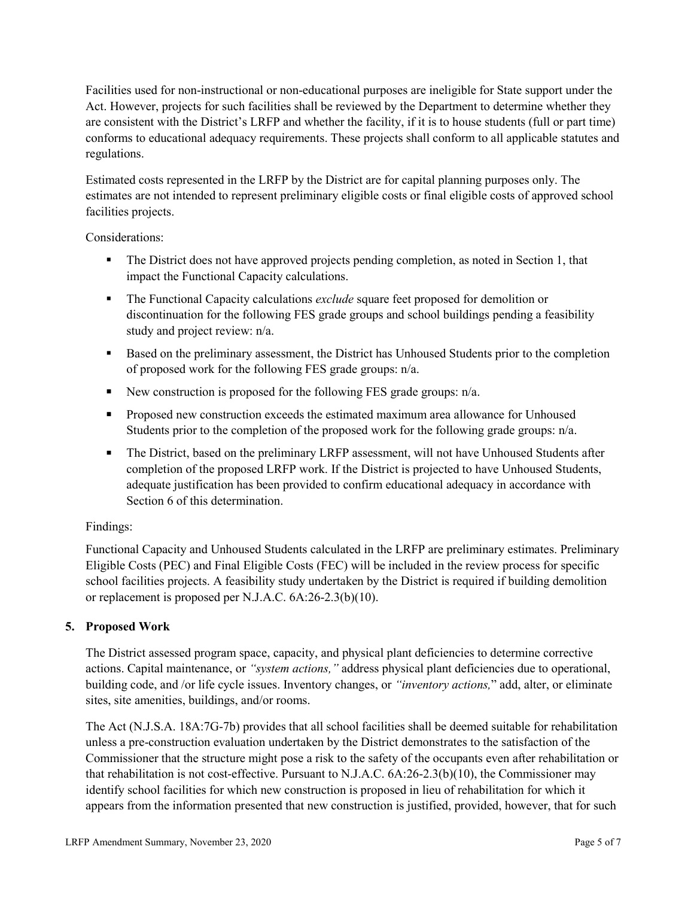Facilities used for non-instructional or non-educational purposes are ineligible for State support under the Act. However, projects for such facilities shall be reviewed by the Department to determine whether they are consistent with the District's LRFP and whether the facility, if it is to house students (full or part time) conforms to educational adequacy requirements. These projects shall conform to all applicable statutes and regulations.

Estimated costs represented in the LRFP by the District are for capital planning purposes only. The estimates are not intended to represent preliminary eligible costs or final eligible costs of approved school facilities projects.

Considerations:

- The District does not have approved projects pending completion, as noted in Section 1, that impact the Functional Capacity calculations.
- **The Functional Capacity calculations** *exclude* square feet proposed for demolition or discontinuation for the following FES grade groups and school buildings pending a feasibility study and project review: n/a.
- **Based on the preliminary assessment, the District has Unhoused Students prior to the completion** of proposed work for the following FES grade groups: n/a.
- New construction is proposed for the following FES grade groups: n/a.
- Proposed new construction exceeds the estimated maximum area allowance for Unhoused Students prior to the completion of the proposed work for the following grade groups: n/a.
- The District, based on the preliminary LRFP assessment, will not have Unhoused Students after completion of the proposed LRFP work. If the District is projected to have Unhoused Students, adequate justification has been provided to confirm educational adequacy in accordance with Section 6 of this determination.

## Findings:

Functional Capacity and Unhoused Students calculated in the LRFP are preliminary estimates. Preliminary Eligible Costs (PEC) and Final Eligible Costs (FEC) will be included in the review process for specific school facilities projects. A feasibility study undertaken by the District is required if building demolition or replacement is proposed per N.J.A.C. 6A:26-2.3(b)(10).

## **5. Proposed Work**

The District assessed program space, capacity, and physical plant deficiencies to determine corrective actions. Capital maintenance, or *"system actions,"* address physical plant deficiencies due to operational, building code, and /or life cycle issues. Inventory changes, or *"inventory actions,*" add, alter, or eliminate sites, site amenities, buildings, and/or rooms.

The Act (N.J.S.A. 18A:7G-7b) provides that all school facilities shall be deemed suitable for rehabilitation unless a pre-construction evaluation undertaken by the District demonstrates to the satisfaction of the Commissioner that the structure might pose a risk to the safety of the occupants even after rehabilitation or that rehabilitation is not cost-effective. Pursuant to N.J.A.C. 6A:26-2.3(b)(10), the Commissioner may identify school facilities for which new construction is proposed in lieu of rehabilitation for which it appears from the information presented that new construction is justified, provided, however, that for such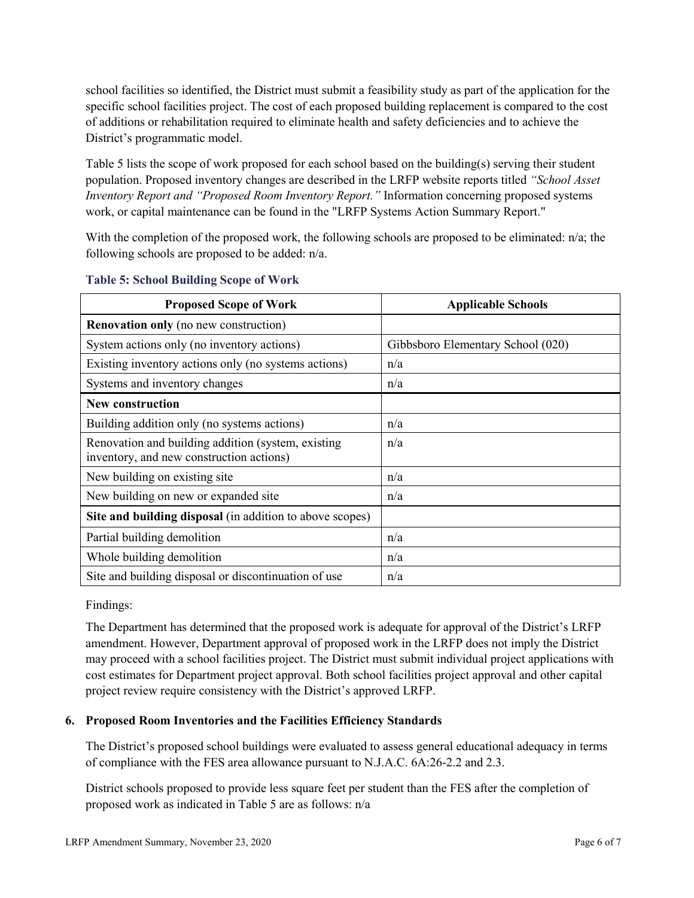school facilities so identified, the District must submit a feasibility study as part of the application for the specific school facilities project. The cost of each proposed building replacement is compared to the cost of additions or rehabilitation required to eliminate health and safety deficiencies and to achieve the District's programmatic model.

Table 5 lists the scope of work proposed for each school based on the building(s) serving their student population. Proposed inventory changes are described in the LRFP website reports titled *"School Asset Inventory Report and "Proposed Room Inventory Report."* Information concerning proposed systems work, or capital maintenance can be found in the "LRFP Systems Action Summary Report."

With the completion of the proposed work, the following schools are proposed to be eliminated: n/a; the following schools are proposed to be added: n/a.

| <b>Proposed Scope of Work</b>                                                                  | <b>Applicable Schools</b>         |
|------------------------------------------------------------------------------------------------|-----------------------------------|
| <b>Renovation only</b> (no new construction)                                                   |                                   |
| System actions only (no inventory actions)                                                     | Gibbsboro Elementary School (020) |
| Existing inventory actions only (no systems actions)                                           | n/a                               |
| Systems and inventory changes                                                                  | n/a                               |
| <b>New construction</b>                                                                        |                                   |
| Building addition only (no systems actions)                                                    | n/a                               |
| Renovation and building addition (system, existing<br>inventory, and new construction actions) | n/a                               |
| New building on existing site.                                                                 | n/a                               |
| New building on new or expanded site                                                           | n/a                               |
| Site and building disposal (in addition to above scopes)                                       |                                   |
| Partial building demolition                                                                    | n/a                               |
| Whole building demolition                                                                      | n/a                               |
| Site and building disposal or discontinuation of use                                           | n/a                               |

#### **Table 5: School Building Scope of Work**

Findings:

The Department has determined that the proposed work is adequate for approval of the District's LRFP amendment. However, Department approval of proposed work in the LRFP does not imply the District may proceed with a school facilities project. The District must submit individual project applications with cost estimates for Department project approval. Both school facilities project approval and other capital project review require consistency with the District's approved LRFP.

## **6. Proposed Room Inventories and the Facilities Efficiency Standards**

The District's proposed school buildings were evaluated to assess general educational adequacy in terms of compliance with the FES area allowance pursuant to N.J.A.C. 6A:26-2.2 and 2.3.

District schools proposed to provide less square feet per student than the FES after the completion of proposed work as indicated in Table 5 are as follows: n/a